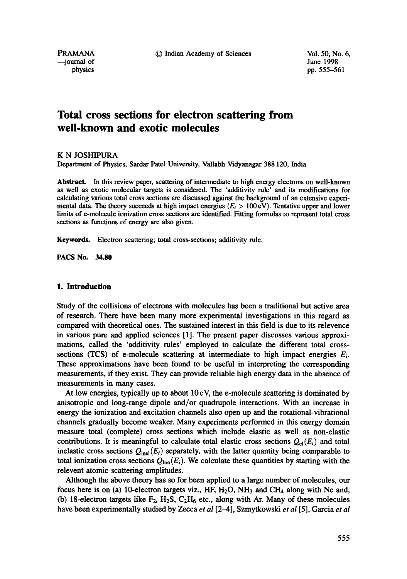--journal of June 1998

physics pp. 555–561

# **Total cross sections for electron scattering from well-known and exotic molecules**

K N JOSHIPURA

Department of Physics, Sardar Patel University, Vallabh Vidyanagar 388 120, India

Abstract. In this review paper, scattering of intermediate to high energy electrons on well-known as well as exotic molecular targets is considered. The 'additivity rule' and its modifications for calculating various total cross sections are discussed against the background of an extensive experimental data. The theory succeeds at high impact energies ( $E_i > 100 \text{ eV}$ ). Tentative upper and lower limits of e-molecule ionization cross sections are identified. Fitting formulas to represent total cross sections as functions of energy are also given.

Keywords. Electron scattering; total cross-sections; additivity rule.

**PACS No. 34.80** 

# **1. Introduction**

Study of the collisions of electrons with molecules has been a traditional but active area of research. There have been many more experimental investigations in this regard as compared with theoretical ones. The sustained interest in this field is due to its relevence in various pure and applied sciences [1]. The present paper discusses various approximations, called the 'additivity rules' employed to calculate the different total crosssections (TCS) of e-molecule scattering at intermediate to high impact energies  $E_i$ . These approximations have been found to be useful in interpreting the corresponding measurements, if they exist. They can provide reliable high energy data in the absence of measurements in many cases.

At low energies, typically up to about  $10 \text{ eV}$ , the e-molecule scattering is dominated by anisotropic and long-range dipole and/or quadrupole interactions. With an increase in energy the ionization and excitation channels also open up and the rotational-vibrational channels gradually become weaker. Many experiments performed in this energy domain measure total (complete) cross sections which include elastic as well as non-elastic contributions. It is meaningful to calculate total elastic cross sections  $Q_{el}(E_i)$  and total inelastic cross sections  $Q_{\text{inel}}(E_i)$  separately, with the latter quantity being comparable to total ionization cross sections  $Q_{\text{lon}}(E_i)$ . We calculate these quantities by starting with the relevent atomic scattering amplitudes.

Although the above theory has so for been applied to a large number of molecules, our focus here is on (a) 10-electron targets viz.,  $HF$ ,  $H_2O$ ,  $NH_3$  and  $CH_4$  along with Ne and, (b) 18-electron targets like  $F_2$ ,  $H_2S$ ,  $C_2H_6$  etc., along with Ar. Many of these molecules have been experimentally studied by Zecca *et al* [2-4], Szmytkowski *et al* [5], Garcia *et al*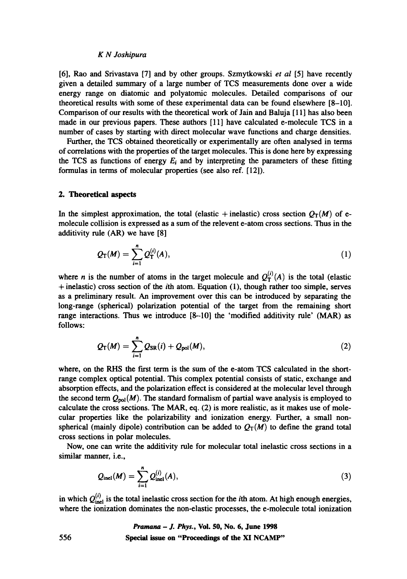## *K N Joshipura*

[6], Rao and Srivastava [7] and by other groups. Szmytkowski *et al* [5] have recently given a detailed summary of a large number of TCS measurements done over a wide energy range on diatomic and polyatomic molecules. Detailed comparisons of our theoretical results with some of these experimental data can be found elsewhere [8-10]. Comparison of our results with the theoretical work of Jain and Baluja [11] has also been made in our previous papers. These authors [11] have calculated e-molecule TCS in a number of cases by starting with direct molecular wave functions and charge densities.

Further, the TCS obtained theoretically or experimentally are often analysed in terms of correlations with the properties of the target molecules. This is done here by expressing the TCS as functions of energy  $E_i$  and by interpreting the parameters of these fitting formulas in terms of molecular properties (see also ref. [12]).

#### **2. Theoretical aspects**

In the simplest approximation, the total (elastic + inelastic) cross section  $Q_T(M)$  of emolecule collision is expressed as a sum of the relevent e-atom cross sections. Thus in the additivity rule (AR) we have [8]

$$
Q_{\rm T}(M) = \sum_{i=1}^n Q_{\rm T}^{(i)}(A), \qquad (1)
$$

where *n* is the number of atoms in the target molecule and  $Q_T^{(i)}(A)$  is the total (elastic + inelastic) cross section of the *i*th atom. Equation (1), though rather too simple, serves as a preliminary result. An improvement over this can be introduced by separating the long-range (spherical) polarization potential of the target from the remaining short range interactions. Thus we introduce [8-10] the 'modified additivity rule' (MAR) as follows:

$$
Q_{\rm T}(M)=\sum_{i=1}^n Q_{\rm SR}(i)+Q_{\rm pol}(M),\qquad \qquad (2)
$$

where, on the RHS the first term is the sum of the e-atom TCS calculated in the shortrange complex optical potential. This complex potential consists of static, exchange and absorption effects, and the polarization effect is considered at the molecular level through the second term  $Q_{pol}(M)$ . The standard formalism of partial wave analysis is employed to calculate the cross sections. The MAR, eq. (2) is more realistic, as it makes use of molecular properties like the polarizability and ionization energy. Further, a small nonspherical (mainly dipole) contribution can be added to  $Q_T(M)$  to define the grand total cross sections in polar molecules.

Now, one can write the additivity rule for molecular total inelastic cross sections in a similar manner, i.e.,

$$
Q_{\rm inel}(M) = \sum_{i=1}^{n} Q_{\rm inel}^{(i)}(A), \qquad (3)
$$

in which  $Q_{\text{inel}}^{(i)}$  is the total inelastic cross section for the *i*th atom. At high enough energies, where the ionization dominates the non-elastic processes, the e-molecule total ionization

> *Pramana - J. Phys.,* **Vol. 50, No. 6, June 1998 Special issue on "Proceedings of the XI NCAMP"**

556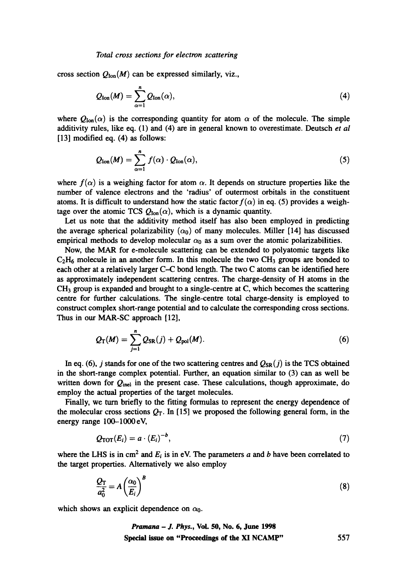cross section  $Q_{\text{lon}}(M)$  can be expressed similarly, viz.,

$$
Q_{\text{Ion}}(M) = \sum_{\alpha=1}^{n} Q_{\text{Ion}}(\alpha), \qquad (4)
$$

where  $Q_{\text{lon}}(\alpha)$  is the corresponding quantity for atom  $\alpha$  of the molecule. The simple additivity rules, like eq. (1) and (4) are in general known to overestimate. Deutsch *et al* [13] modified eq. (4) as follows:

$$
Q_{\text{lon}}(M) = \sum_{\alpha=1}^{n} f(\alpha) \cdot Q_{\text{lon}}(\alpha), \qquad (5)
$$

where  $f(\alpha)$  is a weighing factor for atom  $\alpha$ . It depends on structure properties like the number of valence electrons and the 'radius' of outermost orbitals in the constituent atoms. It is difficult to understand how the static factor  $f(\alpha)$  in eq. (5) provides a weightage over the atomic TCS  $Q_{\text{Ion}}(\alpha)$ , which is a dynamic quantity.

Let us note that the additivity method itself has also been employed in predicting the average spherical polarizability  $(\alpha_0)$  of many molecules. Miller [14] has discussed empirical methods to develop molecular  $\alpha_0$  as a sum over the atomic polarizabilities.

Now, the MAR for e-molecule scattering can be extended to polyatomic targets like  $C_2H_6$  molecule in an another form. In this molecule the two CH<sub>3</sub> groups are bonded to each other at a relatively larger C-C bond length. The two C atoms can be identified here as approximately independent scattering centres. The charge-density of H atoms in the  $CH<sub>3</sub>$  group is expanded and brought to a single-centre at C, which becomes the scattering centre for further calculations. The single-centre total charge-density is employed to construct complex short-range potential and to calculate the corresponding cross sections. Thus in our MAR-SC approach [12],

$$
Q_{\rm T}(M)=\sum_{j=1}^n Q_{\rm SR}(j)+Q_{\rm pol}(M). \hspace{1cm} (6)
$$

In eq. (6), j stands for one of the two scattering centres and  $Q_{SR}(j)$  is the TCS obtained in the short-range complex potential. Further, an equation similar to (3) can as well be written down for  $Q_{\text{inel}}$  in the present case. These calculations, though approximate, do employ the actual properties of the target molecules.

Finally, we turn briefly to the fitting formulas to represent the energy dependence of the molecular cross sections  $Q_T$ . In [15] we proposed the following general form, in the energy range 100-1000 eV,

$$
Q_{\text{TOT}}(E_i) = a \cdot (E_i)^{-b}, \qquad (7)
$$

where the LHS is in cm<sup>2</sup> and  $E_i$  is in eV. The parameters a and b have been correlated to the target properties. Alternatively we also employ

$$
\frac{Q_{\rm T}}{a_0^2} = A \left(\frac{\alpha_0}{E_i}\right)^B \tag{8}
$$

which shows an explicit dependence on  $\alpha_0$ .

*Pramana - I. Phys.,* **VoL 50, No. 6, June 1998**  Special issue on "Proeeedinuos of the XI NCAMp" 557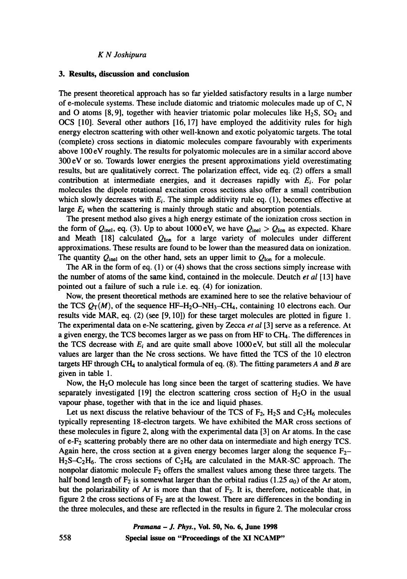## *K N Joshipura*

## **3. Results, discussion and conclusion**

The present theoretical approach has so far yielded satisfactory results in a large number of e-molecule systems. These include diatomic and triatomic molecules made up of C, N and O atoms [8, 9], together with heavier triatomic polar molecules like  $H_2S$ ,  $SO_2$  and OCS [10]. Several other authors [16, 17] have employed the additivity rules for high energy electron scattering with other well-known and exotic polyatomic targets. The total (complete) cross sections in diatomic molecules compare favourably with experiments above 100 eV roughly. The results for polyatomic molecules are in a similar accord above 300 eV or so. Towards lower energies the present approximations yield overestimating results, but are qualitatively correct. The polarization effect, vide eq. (2) offers a small contribution at intermediate energies, and it decreases rapidly with  $E_i$ . For polar molecules the dipole rotational excitation cross sections also offer a small contribution which slowly decreases with  $E_i$ . The simple additivity rule eq. (1), becomes effective at large  $E_i$  when the scattering is mainly through static and absorption potentials.

The present method also gives a high energy estimate of the ionization cross section in the form of  $Q_{\text{inel}}$ , eq. (3). Up to about 1000 eV, we have  $Q_{\text{inel}} > Q_{\text{Ion}}$  as expected. Khare and Meath [18] calculated  $Q_{\text{lon}}$  for a large variety of molecules under different approximations. These results are found to be lower than the measured data on ionization. The quantity  $Q_{\text{inel}}$  on the other hand, sets an upper limit to  $Q_{\text{Ion}}$  for a molecule.

The AR in the form of eq. (1) or (4) shows that the cross sections simply increase with the number of atoms of the same kind, contained in the molecule. Deutch *et al* [13] have pointed out a failure of such a rule i.e. eq. (4) for ionization.

Now, the present theoretical methods are examined here to see the relative behaviour of the TCS  $Q_T(M)$ , of the sequence HF-H<sub>2</sub>O-NH<sub>3</sub>-CH<sub>4</sub>, containing 10 electrons each. Our results vide MAR, eq. (2) (see [9, 10]) for these target molecules are plotted in figure 1. The experimental data on e-Ne scattering, given by Zecca *et al* [3] serve as a reference. At a given energy, the TCS becomes larger as we pass on from HF to CH4. The differences in the TCS decrease with  $E_i$  and are quite small above 1000 eV, but still all the molecular values are larger than the Ne cross sections. We have fitted the TCS of the 10 electron targets HF through CH<sub>4</sub> to analytical formula of eq.  $(8)$ . The fitting parameters A and B are given in table 1.

Now, the  $H_2O$  molecule has long since been the target of scattering studies. We have separately investigated [19] the electron scattering cross section of  $H_2O$  in the usual vapour phase, together with that in the ice and liquid phases.

Let us next discuss the relative behaviour of the TCS of  $F_2$ ,  $H_2S$  and  $C_2H_6$  molecules typically representing 18-electron targets. We have exhibited the MAR cross sections of these molecules in figure 2, along with the experimental data [3] on Ar atoms. In the case of e-F2 scattering probably there are no other data on intermediate and high energy TCS. Again here, the cross section at a given energy becomes larger along the sequence  $F_{2-}$  $H_2S-C_2H_6$ . The cross sections of  $C_2H_6$  are calculated in the MAR-SC approach. The nonpolar diatomic molecule  $F_2$  offers the smallest values among these three targets. The half bond length of  $F_2$  is somewhat larger than the orbital radius (1.25  $a_0$ ) of the Ar atom, but the polarizability of Ar is more than that of  $F_2$ . It is, therefore, noticeable that, in figure 2 the cross sections of  $F_2$  are at the lowest. There are differences in the bonding in the three molecules, and these are reflected in the results in figure 2. The molecular cross

> *Pramana - J. Phys.,* **Vol. 50, No. 6, June 1998 Special issue on "Proceedings of the XI NCAMP"**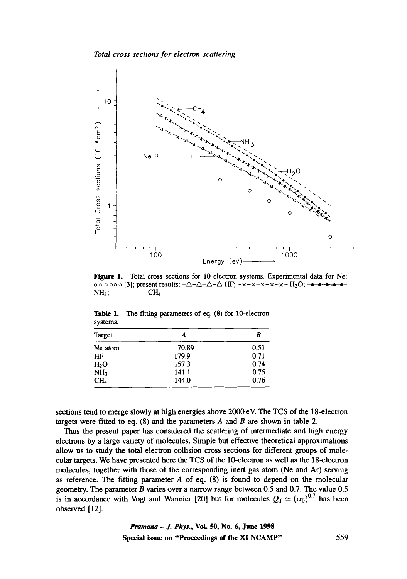

**Figure 1. Total cross sections for 10 electron systems. Experimental data for Ne: o o o o o [3]; present results:**  $-\Delta-\Delta-\Delta$  **HF;**  $-x-x-x-x-X-H_2O$ **; ------** $NH_3$ ;  $- - - - - \text{CH}_4$ .

| systems.        |       |      |
|-----------------|-------|------|
| Target          | A     | B    |
| Ne atom         | 70.89 | 0.51 |
| HF              | 179.9 | 0.71 |
| $H_2O$          | 157.3 | 0.74 |
| NH <sub>2</sub> | 141.1 | 0.75 |
| CH <sub>4</sub> | 144.0 | 0.76 |

**Table 1. The fitting parameters of eq. (8) for 10-electron systems.** 

**sections tend to merge slowly at high energies above 2000 eV. The TCS of the 18-electron targets were fitted to eq. (8) and the parameters A and B are shown in table 2.** 

**Thus the present paper has considered the scattering of intermediate and high energy electrons by a large variety of molecules. Simple but effective theoretical approximations allow us to study the total electron collision cross sections for different groups of molecular targets. We have presented here the TCS of the 10-electron as well as the 18-electron molecules, together with those of the corresponding inert gas atom (Ne and At) serving as reference, The fitting parameter A of eq. (8) is found to depend on the molecular geometry. The parameter B varies over a narrow range between 0.5 and 0.7. The value 0.5**  is in accordance with Vogt and Wannier [20] but for molecules  $Q_T \simeq (\alpha_0)^{0.7}$  has been **observed [12].**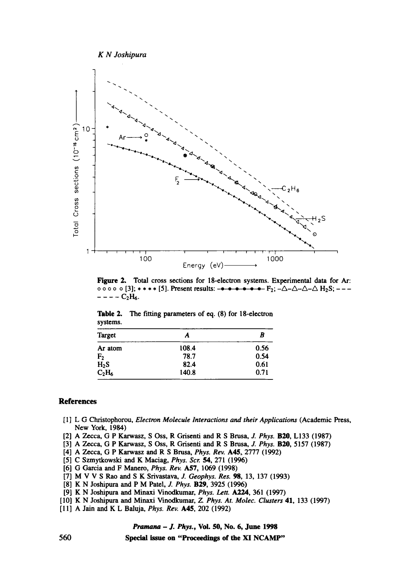

**Figure 2. Total cross sections for 18-electron systems. Experimental data for Ar: o o o o [3];** \* \* \* \* [5]. Present results:  $F_2$ ;  $-\Delta-\Delta-\Delta$   $H_2S$ ;  $- - - - C_2H_6.$ 

| - - - - -      |       |      |
|----------------|-------|------|
| Target         | A     | B    |
| Ar atom        | 108.4 | 0.56 |
| F <sub>2</sub> | 78.7  | 0.54 |
| $H_2S$         | 82.4  | 0.61 |
| $C_2H_6$       | 140.8 | 0.71 |

**Table 2. systems. The fitting parameters of eq. (8) for 18-electron** 

# **References**

- **[1 ] L G Christophorou,** *Electron Molecule Interactions and their Application~* **(Academic Press, New York, 1984)**
- **[2] A Zecca, G P Karwasz, S Oss, R Grisenti and R S Brusa,** *J. Phys.* **B20, L133 (1987)**
- **[3] A Zecca, G P Karwasz, S Oss, R Grisenti and R S Brusa, Z** *Phys.* **B20, 5157 (1987)**
- **[4] A Zecca, G P Karwasz and R S Brusa,** *Phys.* **Rev. A45, 2777 (1992)**
- **[5] C Szmytkowski and K Maeiag,** *Phys. Scr.* **54, 271 (1996)**
- **[6] G Garcia and F Manero,** *Phys. Rev.* **A57, 1069 (1998)**
- **[7] M V V S Rao and S K Srivastava,** *J. Geophys. Res.* **98, 13, 137 (1993)**
- **[8] K N Joshipura and P M Patel,** *J. Phys.* **B29, 3925 (1996)**
- **[9] K N Joshipura and Minaxi Vinodkumar,** *Phys. Lett. A224,* **361 (1997)**
- **[10] K N Joshipura and Minaxi Vinodkumar,** *Z. Phys. At. Molec. Clusters* **41, 133 (1997)**
- **[11] A Jain and K L Baluja,** *Phys. Rev.* **A45, 202 (1992)**

*Pramana - J. Phys.,* **Vol. 50, No. 6, June 1998** 

**Special issue on "Proceedings of the XI NCAMP"**